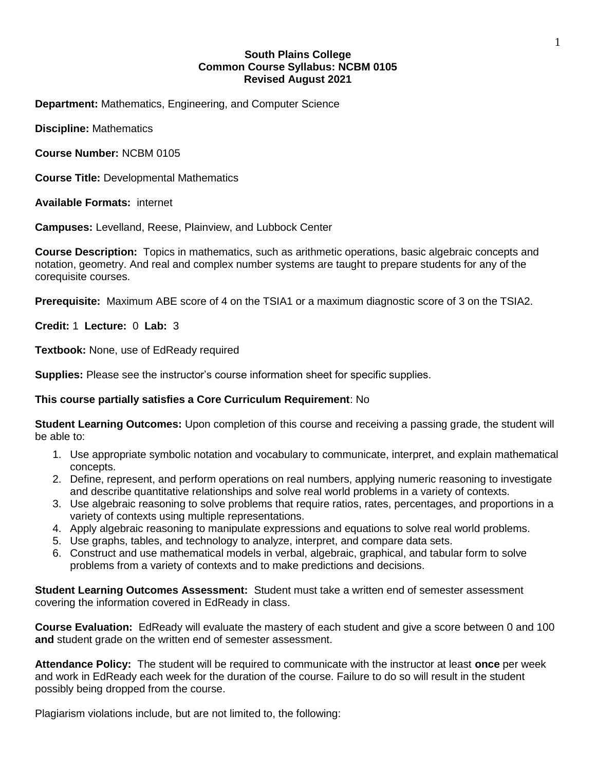# **South Plains College Common Course Syllabus: NCBM 0105 Revised August 2021**

**Department:** Mathematics, Engineering, and Computer Science

**Discipline:** Mathematics

**Course Number:** NCBM 0105

**Course Title:** Developmental Mathematics

**Available Formats:** internet

**Campuses:** Levelland, Reese, Plainview, and Lubbock Center

**Course Description:** Topics in mathematics, such as arithmetic operations, basic algebraic concepts and notation, geometry. And real and complex number systems are taught to prepare students for any of the corequisite courses.

**Prerequisite:** Maximum ABE score of 4 on the TSIA1 or a maximum diagnostic score of 3 on the TSIA2.

**Credit:** 1 **Lecture:** 0 **Lab:** 3

**Textbook:** None, use of EdReady required

**Supplies:** Please see the instructor's course information sheet for specific supplies.

# **This course partially satisfies a Core Curriculum Requirement**: No

**Student Learning Outcomes:** Upon completion of this course and receiving a passing grade, the student will be able to:

- 1. Use appropriate symbolic notation and vocabulary to communicate, interpret, and explain mathematical concepts.
- 2. Define, represent, and perform operations on real numbers, applying numeric reasoning to investigate and describe quantitative relationships and solve real world problems in a variety of contexts.
- 3. Use algebraic reasoning to solve problems that require ratios, rates, percentages, and proportions in a variety of contexts using multiple representations.
- 4. Apply algebraic reasoning to manipulate expressions and equations to solve real world problems.
- 5. Use graphs, tables, and technology to analyze, interpret, and compare data sets.
- 6. Construct and use mathematical models in verbal, algebraic, graphical, and tabular form to solve problems from a variety of contexts and to make predictions and decisions.

**Student Learning Outcomes Assessment:** Student must take a written end of semester assessment covering the information covered in EdReady in class.

**Course Evaluation:** EdReady will evaluate the mastery of each student and give a score between 0 and 100 **and** student grade on the written end of semester assessment.

**Attendance Policy:** The student will be required to communicate with the instructor at least **once** per week and work in EdReady each week for the duration of the course. Failure to do so will result in the student possibly being dropped from the course.

Plagiarism violations include, but are not limited to, the following: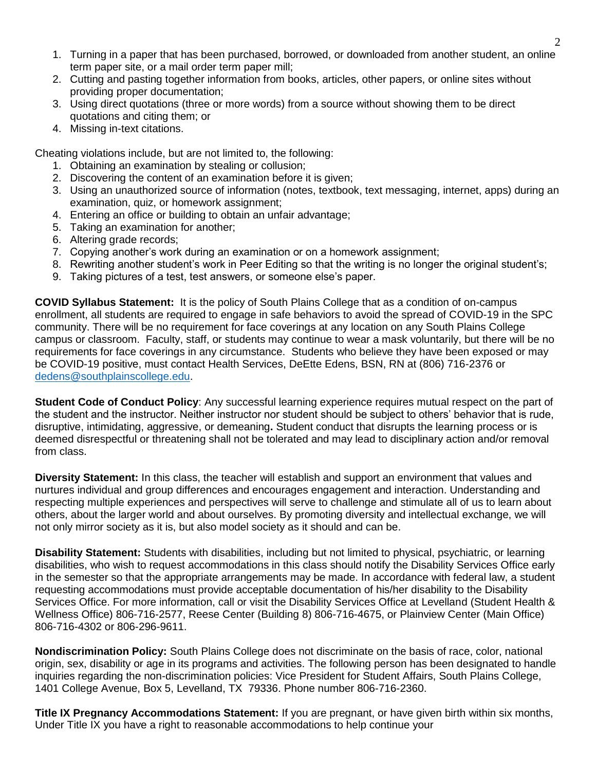- 1. Turning in a paper that has been purchased, borrowed, or downloaded from another student, an online term paper site, or a mail order term paper mill;
- 2. Cutting and pasting together information from books, articles, other papers, or online sites without providing proper documentation;
- 3. Using direct quotations (three or more words) from a source without showing them to be direct quotations and citing them; or
- 4. Missing in-text citations.

Cheating violations include, but are not limited to, the following:

- 1. Obtaining an examination by stealing or collusion;
- 2. Discovering the content of an examination before it is given;
- 3. Using an unauthorized source of information (notes, textbook, text messaging, internet, apps) during an examination, quiz, or homework assignment;
- 4. Entering an office or building to obtain an unfair advantage;
- 5. Taking an examination for another;
- 6. Altering grade records;
- 7. Copying another's work during an examination or on a homework assignment;
- 8. Rewriting another student's work in Peer Editing so that the writing is no longer the original student's;
- 9. Taking pictures of a test, test answers, or someone else's paper.

**COVID Syllabus Statement:** It is the policy of South Plains College that as a condition of on-campus enrollment, all students are required to engage in safe behaviors to avoid the spread of COVID-19 in the SPC community. There will be no requirement for face coverings at any location on any South Plains College campus or classroom. Faculty, staff, or students may continue to wear a mask voluntarily, but there will be no requirements for face coverings in any circumstance. Students who believe they have been exposed or may be COVID-19 positive, must contact Health Services, DeEtte Edens, BSN, RN at (806) 716-2376 or [dedens@southplainscollege.edu.](mailto:dedens@southplainscollege.edu)

**Student Code of Conduct Policy**: Any successful learning experience requires mutual respect on the part of the student and the instructor. Neither instructor nor student should be subject to others' behavior that is rude, disruptive, intimidating, aggressive, or demeaning**.** Student conduct that disrupts the learning process or is deemed disrespectful or threatening shall not be tolerated and may lead to disciplinary action and/or removal from class.

**Diversity Statement:** In this class, the teacher will establish and support an environment that values and nurtures individual and group differences and encourages engagement and interaction. Understanding and respecting multiple experiences and perspectives will serve to challenge and stimulate all of us to learn about others, about the larger world and about ourselves. By promoting diversity and intellectual exchange, we will not only mirror society as it is, but also model society as it should and can be.

**Disability Statement:** Students with disabilities, including but not limited to physical, psychiatric, or learning disabilities, who wish to request accommodations in this class should notify the Disability Services Office early in the semester so that the appropriate arrangements may be made. In accordance with federal law, a student requesting accommodations must provide acceptable documentation of his/her disability to the Disability Services Office. For more information, call or visit the Disability Services Office at Levelland (Student Health & Wellness Office) 806-716-2577, Reese Center (Building 8) 806-716-4675, or Plainview Center (Main Office) 806-716-4302 or 806-296-9611.

**Nondiscrimination Policy:** South Plains College does not discriminate on the basis of race, color, national origin, sex, disability or age in its programs and activities. The following person has been designated to handle inquiries regarding the non-discrimination policies: Vice President for Student Affairs, South Plains College, 1401 College Avenue, Box 5, Levelland, TX 79336. Phone number 806-716-2360.

**Title IX Pregnancy Accommodations Statement:** If you are pregnant, or have given birth within six months, Under Title IX you have a right to reasonable accommodations to help continue your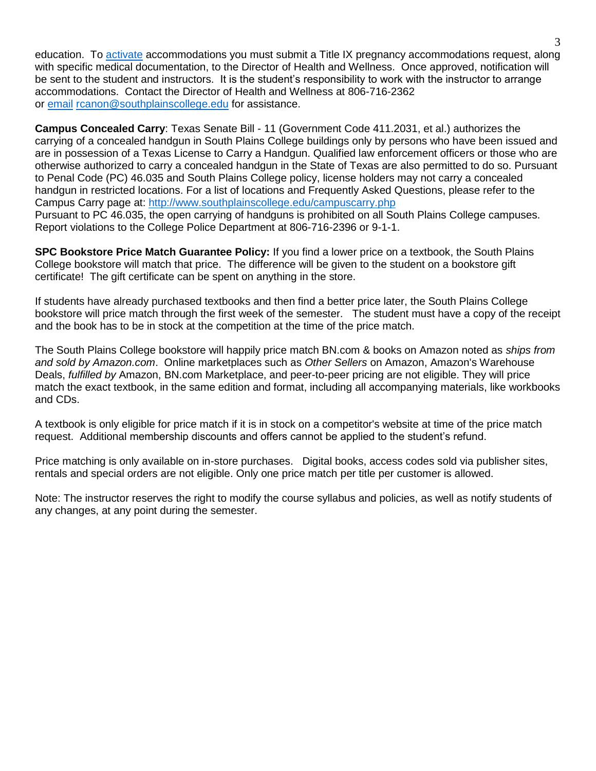education. To [activate](http://www.southplainscollege.edu/employees/manualshandbooks/facultyhandbook/sec4.php) accommodations you must submit a Title IX pregnancy accommodations request, along with specific medical documentation, to the Director of Health and Wellness. Once approved, notification will be sent to the student and instructors. It is the student's responsibility to work with the instructor to arrange accommodations. Contact the Director of Health and Wellness at 806-716-2362 or [email](http://www.southplainscollege.edu/employees/manualshandbooks/facultyhandbook/sec4.php) [rcanon@southplainscollege.edu](mailto:rcanon@southplainscollege.edu) for assistance.

**Campus Concealed Carry**: Texas Senate Bill - 11 (Government Code 411.2031, et al.) authorizes the carrying of a concealed handgun in South Plains College buildings only by persons who have been issued and are in possession of a Texas License to Carry a Handgun. Qualified law enforcement officers or those who are otherwise authorized to carry a concealed handgun in the State of Texas are also permitted to do so. Pursuant to Penal Code (PC) 46.035 and South Plains College policy, license holders may not carry a concealed handgun in restricted locations. For a list of locations and Frequently Asked Questions, please refer to the Campus Carry page at: <http://www.southplainscollege.edu/campuscarry.php> Pursuant to PC 46.035, the open carrying of handguns is prohibited on all South Plains College campuses. Report violations to the College Police Department at 806-716-2396 or 9-1-1.

**SPC Bookstore Price Match Guarantee Policy:** If you find a lower price on a textbook, the South Plains College bookstore will match that price. The difference will be given to the student on a bookstore gift certificate! The gift certificate can be spent on anything in the store.

If students have already purchased textbooks and then find a better price later, the South Plains College bookstore will price match through the first week of the semester. The student must have a copy of the receipt and the book has to be in stock at the competition at the time of the price match.

The South Plains College bookstore will happily price match BN.com & books on Amazon noted as *ships from and sold by Amazon.com*. Online marketplaces such as *Other Sellers* on Amazon, Amazon's Warehouse Deals, *fulfilled by* Amazon, BN.com Marketplace, and peer-to-peer pricing are not eligible. They will price match the exact textbook, in the same edition and format, including all accompanying materials, like workbooks and CDs.

A textbook is only eligible for price match if it is in stock on a competitor's website at time of the price match request. Additional membership discounts and offers cannot be applied to the student's refund.

Price matching is only available on in-store purchases. Digital books, access codes sold via publisher sites, rentals and special orders are not eligible. Only one price match per title per customer is allowed.

Note: The instructor reserves the right to modify the course syllabus and policies, as well as notify students of any changes, at any point during the semester.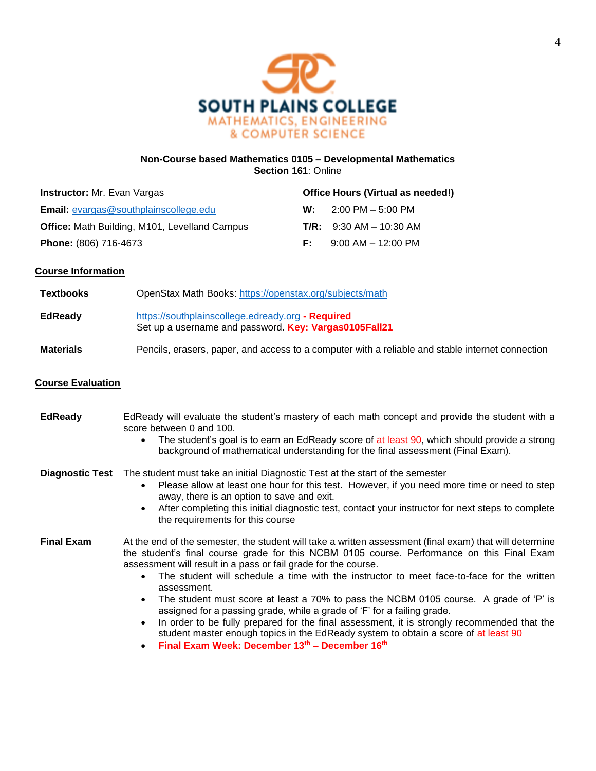

### **Non-Course based Mathematics 0105 – Developmental Mathematics Section 161**: Online

| <b>Instructor:</b> Mr. Evan Vargas                   |    | Office Hours (Virtual as needed!)   |  |
|------------------------------------------------------|----|-------------------------------------|--|
| <b>Email:</b> evargas@southplainscollege.edu         | w. | $2:00 \text{ PM} - 5:00 \text{ PM}$ |  |
| <b>Office:</b> Math Building, M101, Levelland Campus |    | <b>T/R:</b> $9:30$ AM $- 10:30$ AM  |  |
| <b>Phone:</b> (806) 716-4673                         | F. | $9:00$ AM $-$ 12:00 PM              |  |

# **Course Information**

| Textbooks | OpenStax Math Books: https://openstax.org/subjects/math                                                    |
|-----------|------------------------------------------------------------------------------------------------------------|
| EdReady   | https://southplainscollege.edready.org - Required<br>Set up a username and password. Key: Vargas0105Fall21 |

#### **Materials** Pencils, erasers, paper, and access to a computer with a reliable and stable internet connection

# **Course Evaluation**

| <b>EdReady</b> | EdReady will evaluate the student's mastery of each math concept and provide the student with a                                                                                                                                        |
|----------------|----------------------------------------------------------------------------------------------------------------------------------------------------------------------------------------------------------------------------------------|
|                | score between 0 and 100.                                                                                                                                                                                                               |
|                | _ _<br>$\sim$ . The second contract of the second contract of the second contract of the second contract of the second contract of the second contract of the second contract of the second contract of the second contract of the sec |

The student's goal is to earn an EdReady score of at least 90, which should provide a strong background of mathematical understanding for the final assessment (Final Exam).

## **Diagnostic Test** The student must take an initial Diagnostic Test at the start of the semester

- Please allow at least one hour for this test. However, if you need more time or need to step away, there is an option to save and exit.
- After completing this initial diagnostic test, contact your instructor for next steps to complete the requirements for this course

# **Final Exam** At the end of the semester, the student will take a written assessment (final exam) that will determine the student's final course grade for this NCBM 0105 course. Performance on this Final Exam assessment will result in a pass or fail grade for the course.

- The student will schedule a time with the instructor to meet face-to-face for the written assessment.
- The student must score at least a 70% to pass the NCBM 0105 course. A grade of 'P' is assigned for a passing grade, while a grade of 'F' for a failing grade.
- In order to be fully prepared for the final assessment, it is strongly recommended that the student master enough topics in the EdReady system to obtain a score of at least 90
- **Final Exam Week: December 13th – December 16 th**